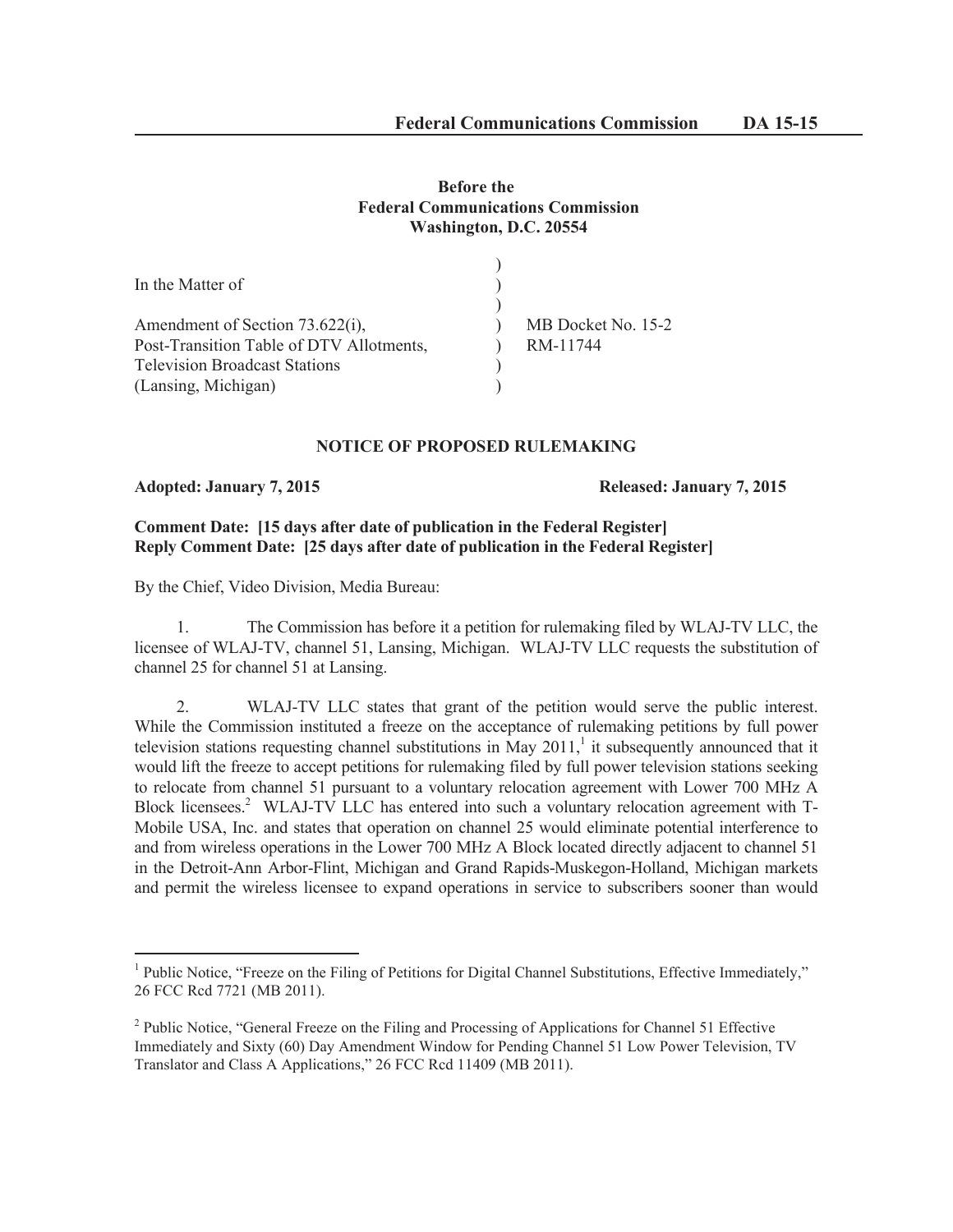# **Before the Federal Communications Commission Washington, D.C. 20554**

| In the Matter of                         |                    |
|------------------------------------------|--------------------|
|                                          |                    |
| Amendment of Section 73.622(i),          | MB Docket No. 15-2 |
| Post-Transition Table of DTV Allotments, | RM-11744           |
| <b>Television Broadcast Stations</b>     |                    |
| (Lansing, Michigan)                      |                    |

## **NOTICE OF PROPOSED RULEMAKING**

**Adopted: January 7, 2015 Released: January 7, 2015**

## **Comment Date: [15 days after date of publication in the Federal Register] Reply Comment Date: [25 days after date of publication in the Federal Register]**

By the Chief, Video Division, Media Bureau:

1. The Commission has before it a petition for rulemaking filed by WLAJ-TV LLC, the licensee of WLAJ-TV, channel 51, Lansing, Michigan. WLAJ-TV LLC requests the substitution of channel 25 for channel 51 at Lansing.

2. WLAJ-TV LLC states that grant of the petition would serve the public interest. While the Commission instituted a freeze on the acceptance of rulemaking petitions by full power television stations requesting channel substitutions in May  $2011$ , it subsequently announced that it would lift the freeze to accept petitions for rulemaking filed by full power television stations seeking to relocate from channel 51 pursuant to a voluntary relocation agreement with Lower 700 MHz A Block licensees.<sup>2</sup> WLAJ-TV LLC has entered into such a voluntary relocation agreement with T-Mobile USA, Inc. and states that operation on channel 25 would eliminate potential interference to and from wireless operations in the Lower 700 MHz A Block located directly adjacent to channel 51 in the Detroit-Ann Arbor-Flint, Michigan and Grand Rapids-Muskegon-Holland, Michigan markets and permit the wireless licensee to expand operations in service to subscribers sooner than would

<sup>&</sup>lt;sup>1</sup> Public Notice, "Freeze on the Filing of Petitions for Digital Channel Substitutions, Effective Immediately," 26 FCC Rcd 7721 (MB 2011).

<sup>&</sup>lt;sup>2</sup> Public Notice, "General Freeze on the Filing and Processing of Applications for Channel 51 Effective Immediately and Sixty (60) Day Amendment Window for Pending Channel 51 Low Power Television, TV Translator and Class A Applications," 26 FCC Rcd 11409 (MB 2011).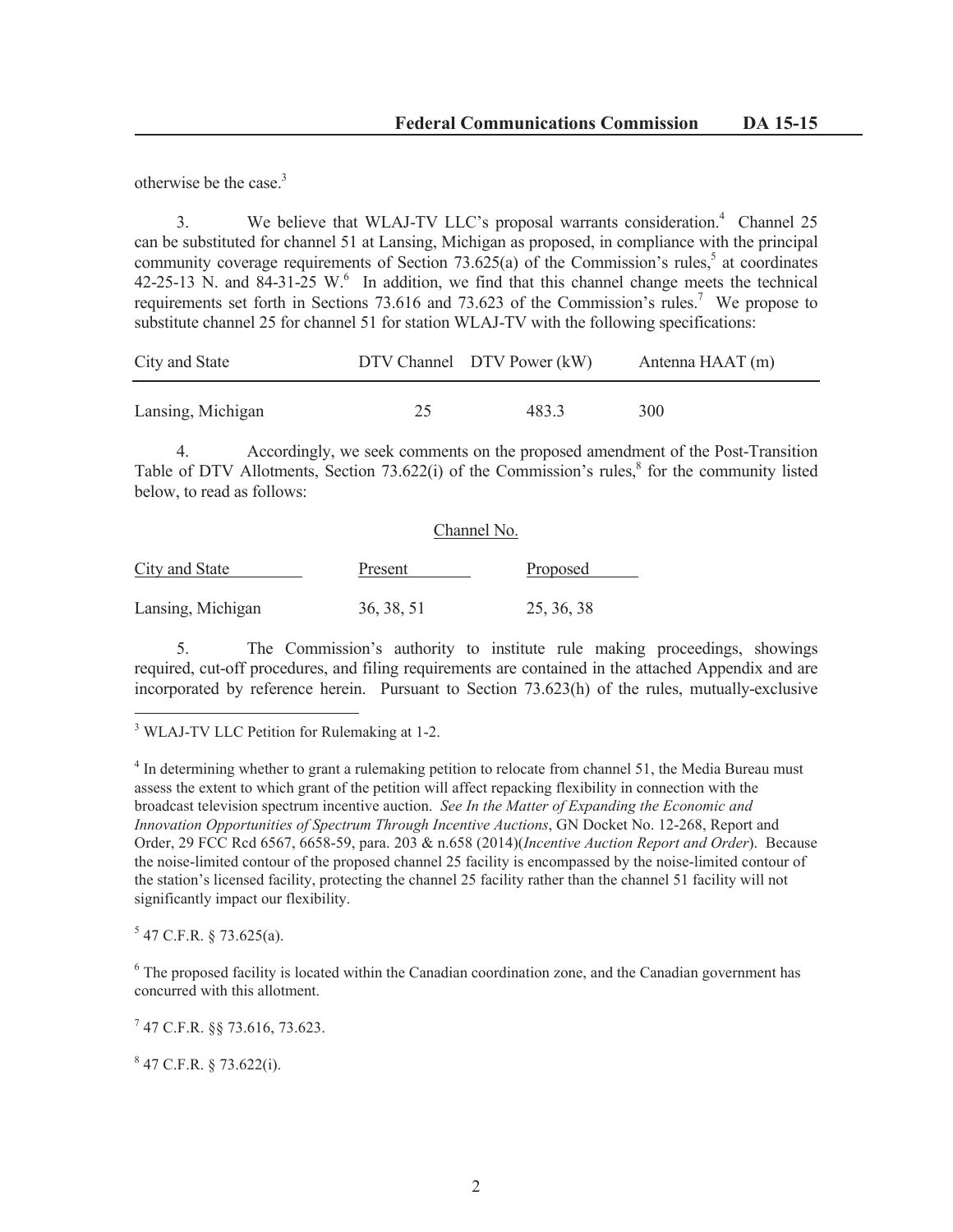otherwise be the case.<sup>3</sup>

3. We believe that WLAJ-TV LLC's proposal warrants consideration.<sup>4</sup> Channel 25 can be substituted for channel 51 at Lansing, Michigan as proposed, in compliance with the principal community coverage requirements of Section  $73.625(a)$  of the Commission's rules,<sup>5</sup> at coordinates 42-25-13 N. and 84-31-25 W. $^6$  In addition, we find that this channel change meets the technical requirements set forth in Sections 73.616 and 73.623 of the Commission's rules.<sup>7</sup> We propose to substitute channel 25 for channel 51 for station WLAJ-TV with the following specifications:

| City and State    |    | DTV Channel DTV Power (kW) | Antenna HAAT (m) |
|-------------------|----|----------------------------|------------------|
| Lansing, Michigan | 25 | 483.3                      | 300              |

4. Accordingly, we seek comments on the proposed amendment of the Post-Transition Table of DTV Allotments, Section  $73.622(i)$  of the Commission's rules, $8$  for the community listed below, to read as follows:

| City and State    | Channel No. |            |  |
|-------------------|-------------|------------|--|
|                   | Present     | Proposed   |  |
| Lansing, Michigan | 36, 38, 51  | 25, 36, 38 |  |

5. The Commission's authority to institute rule making proceedings, showings required, cut-off procedures, and filing requirements are contained in the attached Appendix and are incorporated by reference herein. Pursuant to Section 73.623(h) of the rules, mutually-exclusive

<sup>3</sup> WLAJ-TV LLC Petition for Rulemaking at 1-2.

<sup>4</sup> In determining whether to grant a rulemaking petition to relocate from channel 51, the Media Bureau must assess the extent to which grant of the petition will affect repacking flexibility in connection with the broadcast television spectrum incentive auction. *See In the Matter of Expanding the Economic and Innovation Opportunities of Spectrum Through Incentive Auctions*, GN Docket No. 12-268, Report and Order, 29 FCC Rcd 6567, 6658-59, para. 203 & n.658 (2014)(*Incentive Auction Report and Order*). Because the noise-limited contour of the proposed channel 25 facility is encompassed by the noise-limited contour of the station's licensed facility, protecting the channel 25 facility rather than the channel 51 facility will not significantly impact our flexibility.

 $5$  47 C.F.R. § 73.625(a).

<sup>6</sup> The proposed facility is located within the Canadian coordination zone, and the Canadian government has concurred with this allotment.

7 47 C.F.R. §§ 73.616, 73.623.

 $847$  C.F.R. § 73.622(i).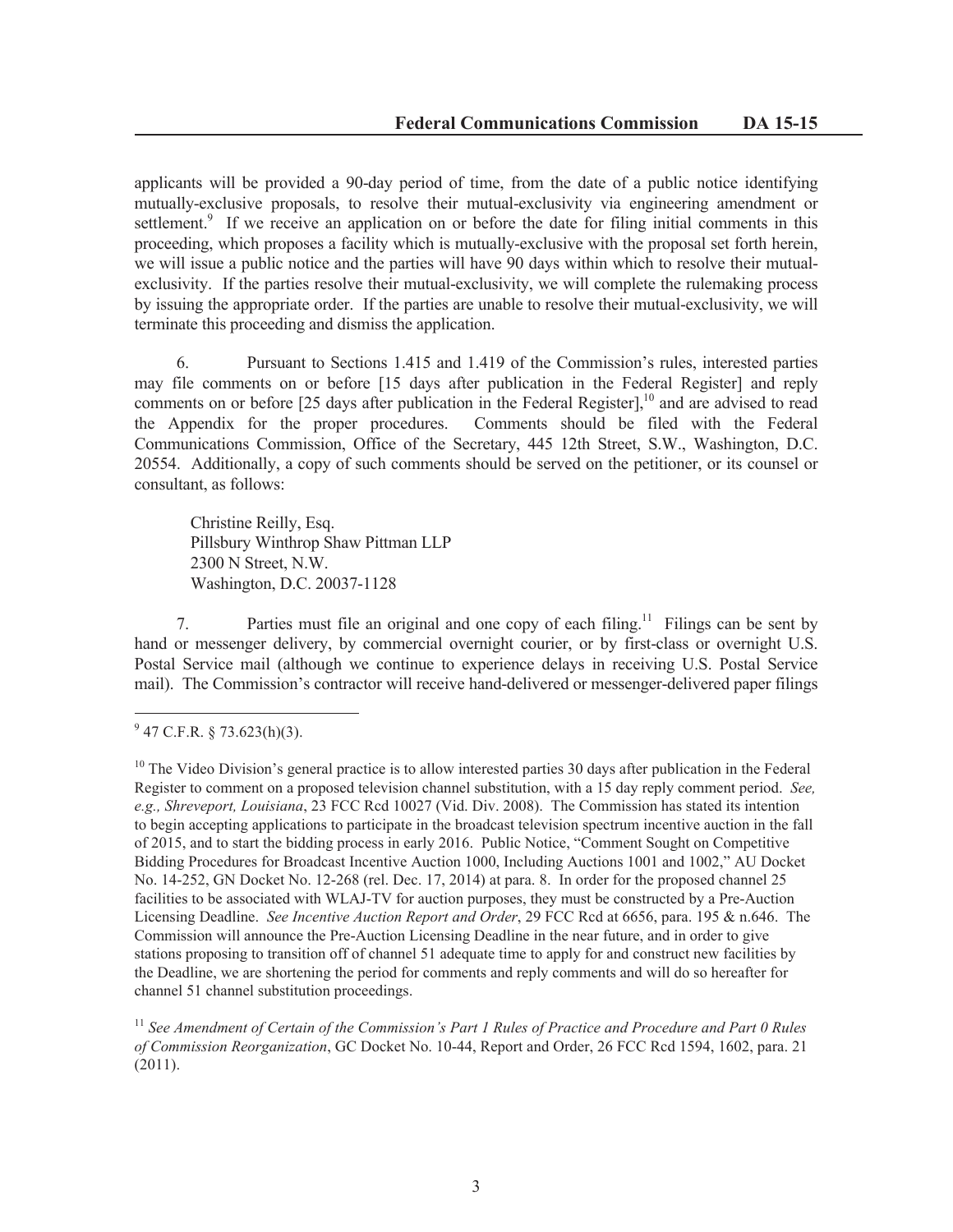applicants will be provided a 90-day period of time, from the date of a public notice identifying mutually-exclusive proposals, to resolve their mutual-exclusivity via engineering amendment or settlement.<sup>9</sup> If we receive an application on or before the date for filing initial comments in this proceeding, which proposes a facility which is mutually-exclusive with the proposal set forth herein, we will issue a public notice and the parties will have 90 days within which to resolve their mutualexclusivity. If the parties resolve their mutual-exclusivity, we will complete the rulemaking process by issuing the appropriate order. If the parties are unable to resolve their mutual-exclusivity, we will terminate this proceeding and dismiss the application.

6. Pursuant to Sections 1.415 and 1.419 of the Commission's rules, interested parties may file comments on or before [15 days after publication in the Federal Register] and reply comments on or before [25 days after publication in the Federal Register],<sup>10</sup> and are advised to read the Appendix for the proper procedures. Comments should be filed with the Federal Communications Commission, Office of the Secretary, 445 12th Street, S.W., Washington, D.C. 20554. Additionally, a copy of such comments should be served on the petitioner, or its counsel or consultant, as follows:

Christine Reilly, Esq. Pillsbury Winthrop Shaw Pittman LLP 2300 N Street, N.W. Washington, D.C. 20037-1128

7. Parties must file an original and one copy of each filing.<sup>11</sup> Filings can be sent by hand or messenger delivery, by commercial overnight courier, or by first-class or overnight U.S. Postal Service mail (although we continue to experience delays in receiving U.S. Postal Service mail). The Commission's contractor will receive hand-delivered or messenger-delivered paper filings

<sup>11</sup> See Amendment of Certain of the Commission's Part 1 Rules of Practice and Procedure and Part 0 Rules *of Commission Reorganization*, GC Docket No. 10-44, Report and Order, 26 FCC Rcd 1594, 1602, para. 21 (2011).

 $9^9$  47 C.F.R. § 73.623(h)(3).

 $10$  The Video Division's general practice is to allow interested parties 30 days after publication in the Federal Register to comment on a proposed television channel substitution, with a 15 day reply comment period. *See, e.g., Shreveport, Louisiana*, 23 FCC Rcd 10027 (Vid. Div. 2008). The Commission has stated its intention to begin accepting applications to participate in the broadcast television spectrum incentive auction in the fall of 2015, and to start the bidding process in early 2016. Public Notice, "Comment Sought on Competitive Bidding Procedures for Broadcast Incentive Auction 1000, Including Auctions 1001 and 1002," AU Docket No. 14-252, GN Docket No. 12-268 (rel. Dec. 17, 2014) at para. 8. In order for the proposed channel 25 facilities to be associated with WLAJ-TV for auction purposes, they must be constructed by a Pre-Auction Licensing Deadline. *See Incentive Auction Report and Order*, 29 FCC Rcd at 6656, para. 195 & n.646. The Commission will announce the Pre-Auction Licensing Deadline in the near future, and in order to give stations proposing to transition off of channel 51 adequate time to apply for and construct new facilities by the Deadline, we are shortening the period for comments and reply comments and will do so hereafter for channel 51 channel substitution proceedings.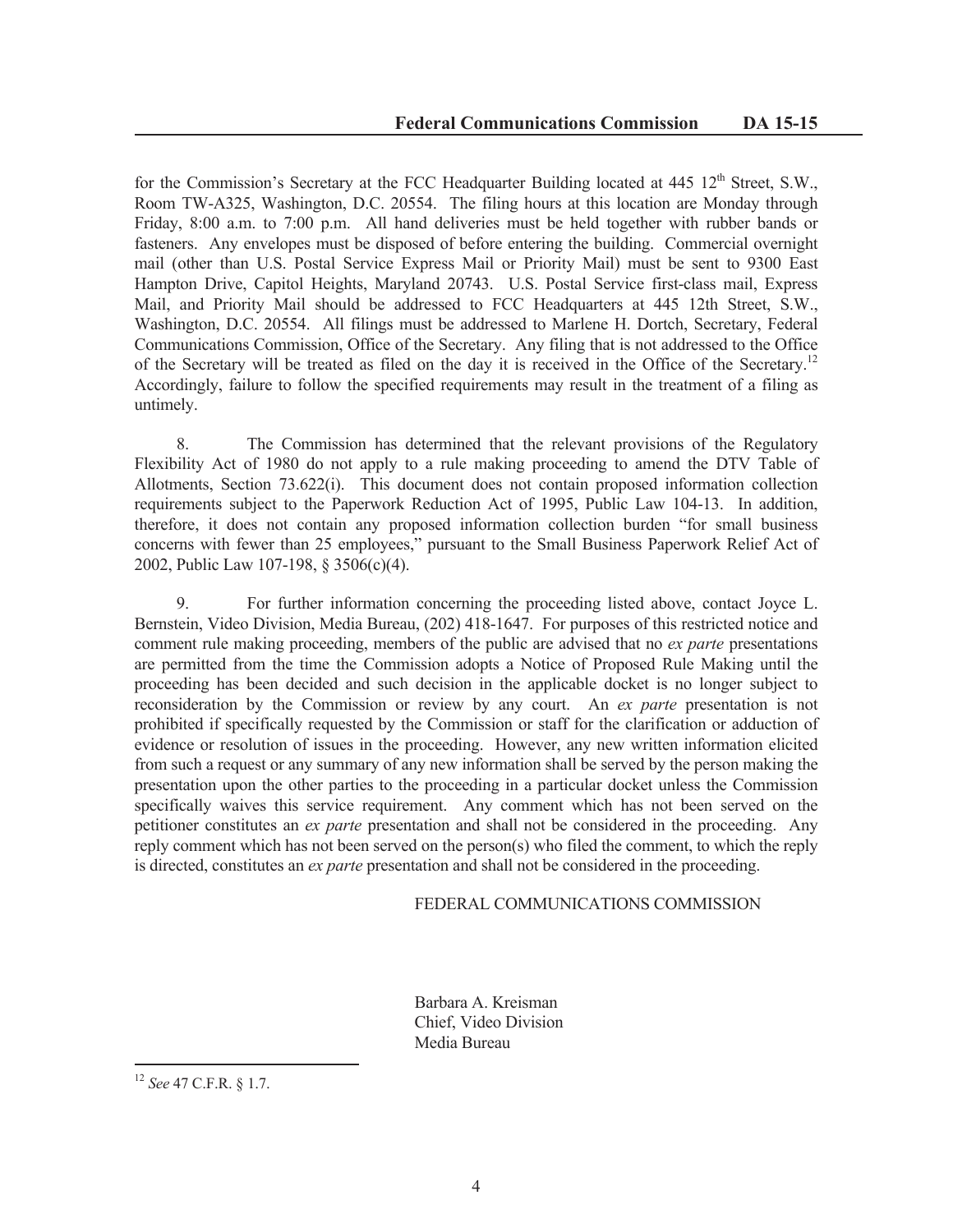for the Commission's Secretary at the FCC Headquarter Building located at  $445 \frac{12^{th}}{s}$  Street, S.W., Room TW-A325, Washington, D.C. 20554. The filing hours at this location are Monday through Friday, 8:00 a.m. to 7:00 p.m. All hand deliveries must be held together with rubber bands or fasteners. Any envelopes must be disposed of before entering the building. Commercial overnight mail (other than U.S. Postal Service Express Mail or Priority Mail) must be sent to 9300 East Hampton Drive, Capitol Heights, Maryland 20743. U.S. Postal Service first-class mail, Express Mail, and Priority Mail should be addressed to FCC Headquarters at 445 12th Street, S.W., Washington, D.C. 20554. All filings must be addressed to Marlene H. Dortch, Secretary, Federal Communications Commission, Office of the Secretary. Any filing that is not addressed to the Office of the Secretary will be treated as filed on the day it is received in the Office of the Secretary.<sup>12</sup> Accordingly, failure to follow the specified requirements may result in the treatment of a filing as untimely.

8. The Commission has determined that the relevant provisions of the Regulatory Flexibility Act of 1980 do not apply to a rule making proceeding to amend the DTV Table of Allotments, Section 73.622(i). This document does not contain proposed information collection requirements subject to the Paperwork Reduction Act of 1995, Public Law 104-13. In addition, therefore, it does not contain any proposed information collection burden "for small business concerns with fewer than 25 employees," pursuant to the Small Business Paperwork Relief Act of 2002, Public Law 107-198, § 3506(c)(4).

9. For further information concerning the proceeding listed above, contact Joyce L. Bernstein, Video Division, Media Bureau, (202) 418-1647. For purposes of this restricted notice and comment rule making proceeding, members of the public are advised that no *ex parte* presentations are permitted from the time the Commission adopts a Notice of Proposed Rule Making until the proceeding has been decided and such decision in the applicable docket is no longer subject to reconsideration by the Commission or review by any court. An *ex parte* presentation is not prohibited if specifically requested by the Commission or staff for the clarification or adduction of evidence or resolution of issues in the proceeding. However, any new written information elicited from such a request or any summary of any new information shall be served by the person making the presentation upon the other parties to the proceeding in a particular docket unless the Commission specifically waives this service requirement. Any comment which has not been served on the petitioner constitutes an *ex parte* presentation and shall not be considered in the proceeding. Any reply comment which has not been served on the person(s) who filed the comment, to which the reply is directed, constitutes an *ex parte* presentation and shall not be considered in the proceeding.

## FEDERAL COMMUNICATIONS COMMISSION

Barbara A. Kreisman Chief, Video Division Media Bureau

<sup>12</sup> *See* 47 C.F.R. § 1.7.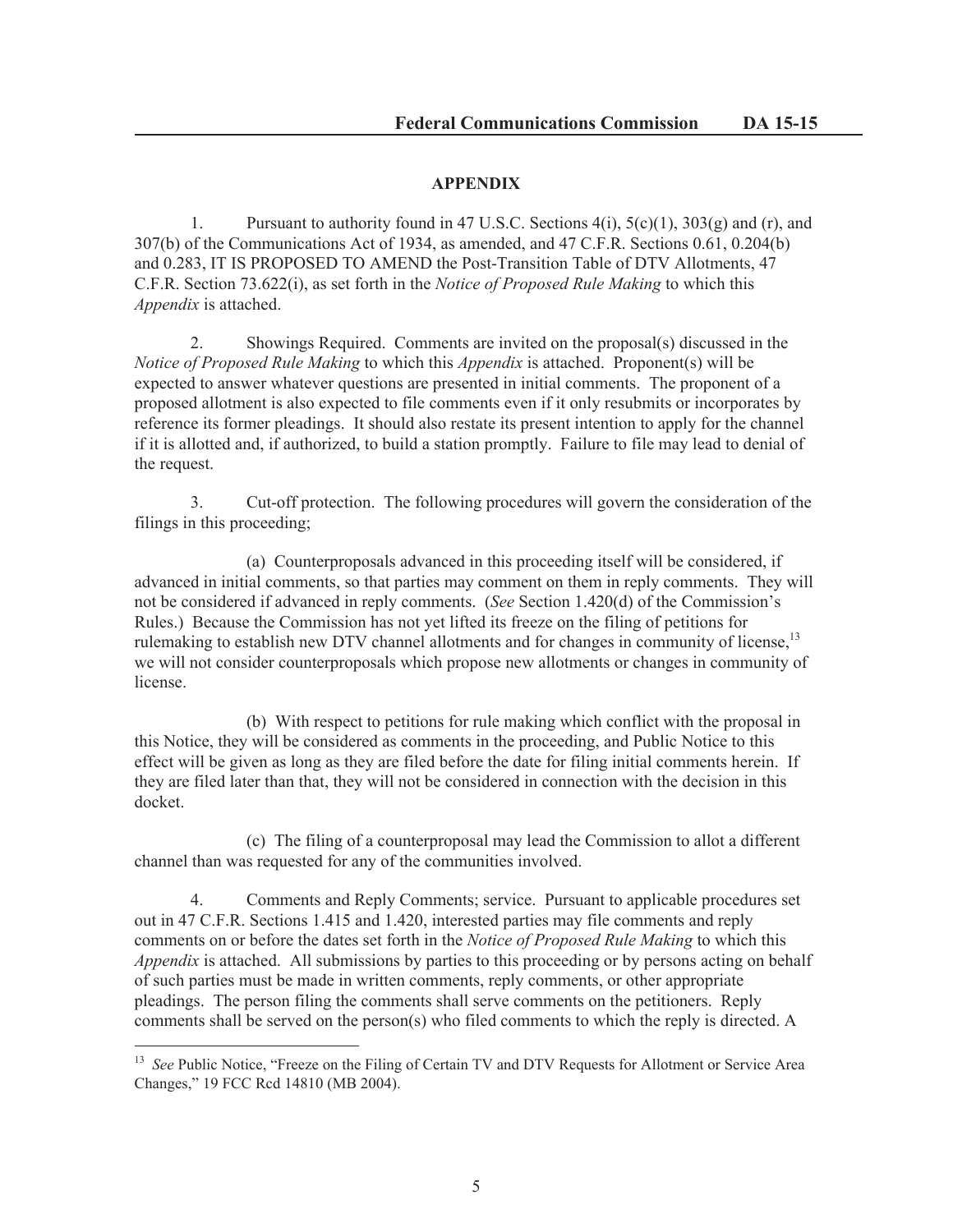# **APPENDIX**

1. Pursuant to authority found in 47 U.S.C. Sections  $4(i)$ ,  $5(c)(1)$ ,  $303(g)$  and (r), and 307(b) of the Communications Act of 1934, as amended, and 47 C.F.R. Sections 0.61, 0.204(b) and 0.283, IT IS PROPOSED TO AMEND the Post-Transition Table of DTV Allotments, 47 C.F.R. Section 73.622(i), as set forth in the *Notice of Proposed Rule Making* to which this *Appendix* is attached.

2. Showings Required. Comments are invited on the proposal(s) discussed in the *Notice of Proposed Rule Making* to which this *Appendix* is attached. Proponent(s) will be expected to answer whatever questions are presented in initial comments. The proponent of a proposed allotment is also expected to file comments even if it only resubmits or incorporates by reference its former pleadings. It should also restate its present intention to apply for the channel if it is allotted and, if authorized, to build a station promptly. Failure to file may lead to denial of the request.

3. Cut-off protection. The following procedures will govern the consideration of the filings in this proceeding;

(a) Counterproposals advanced in this proceeding itself will be considered, if advanced in initial comments, so that parties may comment on them in reply comments. They will not be considered if advanced in reply comments. (*See* Section 1.420(d) of the Commission's Rules.) Because the Commission has not yet lifted its freeze on the filing of petitions for rulemaking to establish new DTV channel allotments and for changes in community of license,<sup>13</sup> we will not consider counterproposals which propose new allotments or changes in community of license.

(b) With respect to petitions for rule making which conflict with the proposal in this Notice, they will be considered as comments in the proceeding, and Public Notice to this effect will be given as long as they are filed before the date for filing initial comments herein. If they are filed later than that, they will not be considered in connection with the decision in this docket.

(c) The filing of a counterproposal may lead the Commission to allot a different channel than was requested for any of the communities involved.

4. Comments and Reply Comments; service. Pursuant to applicable procedures set out in 47 C.F.R. Sections 1.415 and 1.420, interested parties may file comments and reply comments on or before the dates set forth in the *Notice of Proposed Rule Making* to which this *Appendix* is attached. All submissions by parties to this proceeding or by persons acting on behalf of such parties must be made in written comments, reply comments, or other appropriate pleadings. The person filing the comments shall serve comments on the petitioners. Reply comments shall be served on the person(s) who filed comments to which the reply is directed. A

<sup>&</sup>lt;sup>13</sup> *See* Public Notice, "Freeze on the Filing of Certain TV and DTV Requests for Allotment or Service Area Changes," 19 FCC Rcd 14810 (MB 2004).